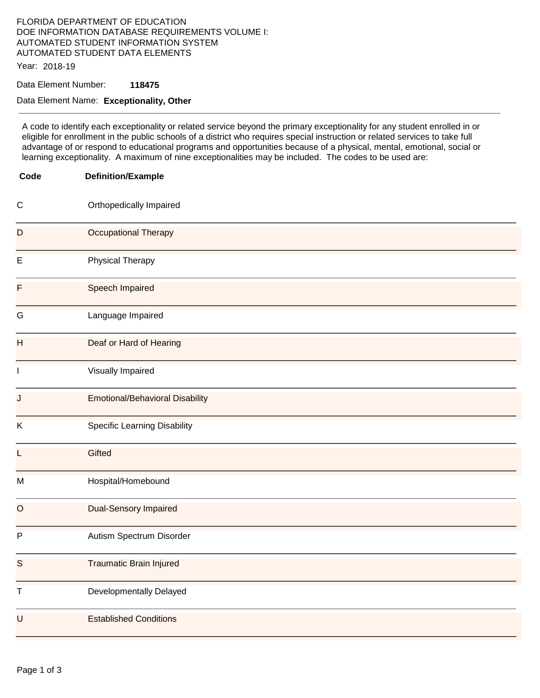# FLORIDA DEPARTMENT OF EDUCATION DOE INFORMATION DATABASE REQUIREMENTS VOLUME I: AUTOMATED STUDENT INFORMATION SYSTEM AUTOMATED STUDENT DATA ELEMENTS

Year: 2018-19

Data Element Number: **118475** 

### Data Element Name: **Exceptionality, Other**

A code to identify each exceptionality or related service beyond the primary exceptionality for any student enrolled in or eligible for enrollment in the public schools of a district who requires special instruction or related services to take full advantage of or respond to educational programs and opportunities because of a physical, mental, emotional, social or learning exceptionality. A maximum of nine exceptionalities may be included. The codes to be used are:

| Code         | <b>Definition/Example</b>              |
|--------------|----------------------------------------|
| $\mathsf{C}$ | Orthopedically Impaired                |
| D            | <b>Occupational Therapy</b>            |
| E            | Physical Therapy                       |
| F            | Speech Impaired                        |
| G            | Language Impaired                      |
| H            | Deaf or Hard of Hearing                |
| $\mathbf{I}$ | Visually Impaired                      |
| J            | <b>Emotional/Behavioral Disability</b> |
| K            | <b>Specific Learning Disability</b>    |
| L            | Gifted                                 |
| M            | Hospital/Homebound                     |
| $\circ$      | <b>Dual-Sensory Impaired</b>           |
| $\mathsf{P}$ | Autism Spectrum Disorder               |
| S            | <b>Traumatic Brain Injured</b>         |
| $\top$       | Developmentally Delayed                |
| $\sf U$      | <b>Established Conditions</b>          |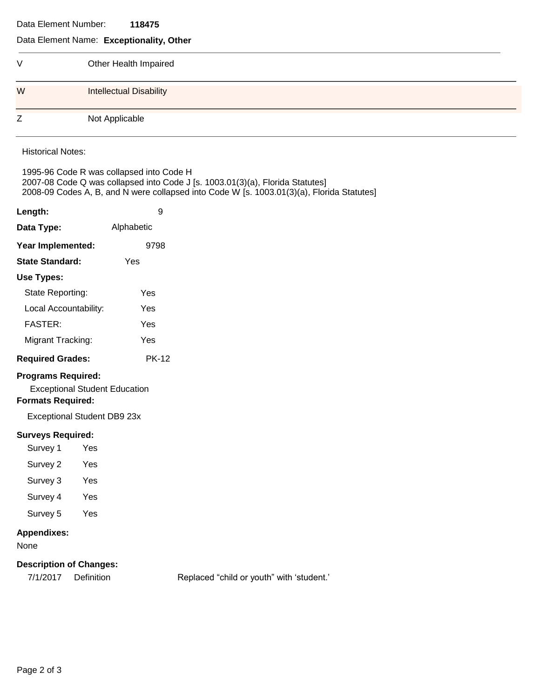Data Element Number: **118475** 

### Data Element Name: **Exceptionality, Other**

| ٧ | Other Health Impaired          |
|---|--------------------------------|
| W | <b>Intellectual Disability</b> |
| Z | Not Applicable                 |

Historical Notes:

1995-96 Code R was collapsed into Code H 2007-08 Code Q was collapsed into Code J [s. 1003.01(3)(a), Florida Statutes] 2008-09 Codes A, B, and N were collapsed into Code W [s. 1003.01(3)(a), Florida Statutes]

| Length:                 | 9            |  |
|-------------------------|--------------|--|
| Data Type:              | Alphabetic   |  |
| Year Implemented:       | 9798         |  |
| <b>State Standard:</b>  | Yes          |  |
| Use Types:              |              |  |
| State Reporting:        | Yes          |  |
| Local Accountability:   | Yes          |  |
| <b>FASTER:</b>          | Yes          |  |
| Migrant Tracking:       | Yes          |  |
| <b>Required Grades:</b> | <b>PK-12</b> |  |

### **Programs Required:**

Exceptional Student Education

## **Formats Required:**

Exceptional Student DB9 23x

### **Surveys Required:**

- Survey 1 Yes Survey 2 Yes Survey 3 Yes Survey 4 Yes
- Survey 5 Yes

### **Appendixes:**

None

#### **Description of Changes:**

7/1/2017 Definition Replaced "child or youth" with 'student.'